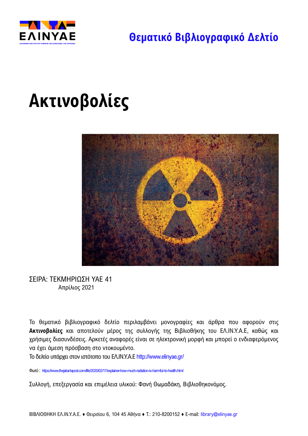

# **Ακτινοβολίες**



ΣΕΙΡΑ: ΤΕΚΜΗΡΙΩΣΗ ΥΑΕ 41 Απρίλιος 2021

Το θεματικό βιβλιογραφικό δελτίο περιλαμβάνει μονογραφίες και άρθρα που αφορούν στις **Ακτινοβολίες** και αποτελούν μέρος της συλλογής της Βιβλιοθήκης του ΕΛ.ΙΝ.Υ.Α.Ε, καθώς και χρήσιμες διασυνδέσεις. Αρκετές αναφορές είναι σε ηλεκτρονική μορφή και μπορεί ο ενδιαφερόμενος να έχει άμεση πρόσβαση στο ντοκουμέντο.

Το δελτίο υπάρχει στoν ιστότοπο του ΕΛ.ΙΝ.Υ.Α.Ε <http://www.elinyae.gr/>

Φωτό : <https://www.thejakartapost.com/life/2020/02/17/explainer-how-much-radiation-is-harmful-to-health.html>

Συλλογή, επεξεργασία και επιμέλεια υλικού: Φανή Θωμαδάκη, Βιβλιοθηκονόμος.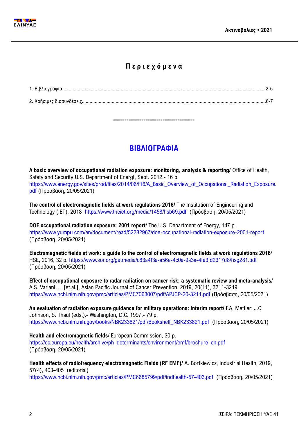

## **Π ε ρ ι ε χ ό μ ε ν α**

1. Βιβλιογραφία.............................................................................................................................................................2-5 2. Χρήσιμες διασυνδέσεις..............................................................................................................................................6-7

## **ΒΙΒΛΙΟΓΡΑΦΙΑ**

**-------------------------------------------**

**A basic overview of occupational radiation exposure: monitoring, analysis & reporting/** Office of Health, Safety and Security U.S. Department of Energt, Sept. 2012.- 16 p. [https://www.energy.gov/sites/prod/files/2014/06/f16/A\\_Basic\\_Overview\\_of\\_Occupational\\_Radiation\\_Exposure.](https://www.energy.gov/sites/prod/files/2014/06/f16/A_Basic_Overview_of_Occupational_Radiation_Exposure.pdf) [pdf](https://www.energy.gov/sites/prod/files/2014/06/f16/A_Basic_Overview_of_Occupational_Radiation_Exposure.pdf) (Πρόσβαση, 20/05/2021)

**The control of electromagnetic fields at work regulations 2016/** The Institution of Engineering and Technology (IET), 2018 <https://www.theiet.org/media/1458/hsb69.pdf>(Πρόσβαση, 20/05/2021)

**DOE occupational radiation exposure: 2001 report**/ The U.S. Department of Energy, 147 p. <https://www.yumpu.com/en/document/read/52282967/doe-occupational-radiation-exposure-2001-report> (Πρόσβαση, 20/05/2021)

**Electromagnetic fields at work: a guide to the control of electromagnetic fields at work regulations 2016**/ HSE, 2016, 32 p. <https://www.sor.org/getmedia/c83a4f3a-a56e-4c0a-9a3a-4fe3fd2317d8/hsg281.pdf> (Πρόσβαση, 20/05/2021)

**Effect of occupational exposure to radar radiation on cancer risk: a systematic review and meta-analysis**/ A.S. Variani, …[et.al.], Asian Pacific Journal of Cancer Prevention, 2019, 20(11), 3211-3219 <https://www.ncbi.nlm.nih.gov/pmc/articles/PMC7063007/pdf/APJCP-20-3211.pdf> (Πρόσβαση, 20/05/2021)

**An evaluation of radiation exposure guidance for military operations: interim report/** F.A. Mettler; J.C. Johnson, S. Thaul (eds.).- Washington, D.C. 1997.- 79 p. [https://www.ncbi.nlm.nih.gov/books/NBK233821/pdf/Bookshelf\\_NBK233821.pdf](https://www.ncbi.nlm.nih.gov/books/NBK233821/pdf/Bookshelf_NBK233821.pdf) (Πρόσβαση, 20/05/2021)

**Health and electromagnetic fields**/ European Commission, 30 p. [https://ec.europa.eu/health/archive/ph\\_determinants/environment/emf/brochure\\_en.pdf](https://ec.europa.eu/health/archive/ph_determinants/environment/emf/brochure_en.pdf)  (Πρόσβαση, 20/05/2021)

**Health effects of radiofrequency electromagnetic Fields (RF EMF)/** A. Bortkiewicz, Industrial Health, 2019, 57(4), 403-405 (editorial)

<https://www.ncbi.nlm.nih.gov/pmc/articles/PMC6685799/pdf/indhealth-57-403.pdf>(Πρόσβαση, 20/05/2021)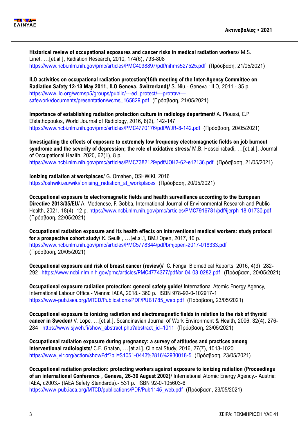

**Historical review of occupational exposures and cancer risks in medical radiation workers**/ M.S. Linet, …[et.al.], Radiation Research, 2010, 174(6), 793-808 <https://www.ncbi.nlm.nih.gov/pmc/articles/PMC4098897/pdf/nihms527525.pdf>(Πρόσβαση, 21/05/2021)

**ILO activities on occupational radiation protection(16th meeting of the Inter-Agency Committee on Radiation Safety 12-13 May 2011, ILO Geneva, Switzerland)/** S. Niu.- Geneva : ILO, 2011.- 35 p. [https://www.ilo.org/wcmsp5/groups/public/---ed\\_protect/---protrav/--](https://www.ilo.org/wcmsp5/groups/public/---ed_protect/---protrav/---safework/documents/presentation/wcms_165829.pdf) [safework/documents/presentation/wcms\\_165829.pdf](https://www.ilo.org/wcmsp5/groups/public/---ed_protect/---protrav/---safework/documents/presentation/wcms_165829.pdf) (Πρόσβαση, 21/05/2021)

**Importance of establishing radiation protection culture in radiology department/** A. Ploussi, E.P. Efstathopoulos, World Journal of Radiology, 2016, 8(2), 142-147 <https://www.ncbi.nlm.nih.gov/pmc/articles/PMC4770176/pdf/WJR-8-142.pdf>(Πρόσβαση, 20/05/2021)

**Investigating the effects of exposure to extremely low frequency electromagnetic fields on job burnout syndrome and the severity of depression; the role of oxidative stress**/ M.B. Hosseinabadi, …[et.al.], Journal of Occupational Health, 2020, 62(1), 8 p. <https://www.ncbi.nlm.nih.gov/pmc/articles/PMC7382129/pdf/JOH2-62-e12136.pdf>(Πρόσβαση, 21/05/2021)

**Ionizing radiation at workplaces**/ G. Omahen, OSHWIKI, 2016 [https://oshwiki.eu/wiki/Ionising\\_radiation\\_at\\_workplaces](https://oshwiki.eu/wiki/Ionising_radiation_at_workplaces) (Πρόσβαση, 20/05/2021)

**Occupational exposure to electromagnetic fields and health surveillance according to the European Directive 2013/35/EU**/ A. Modenese, F. Gobba, International Journal of Environmental Research and Public Health, 2021, 18(4), 12 p. <https://www.ncbi.nlm.nih.gov/pmc/articles/PMC7916781/pdf/ijerph-18-01730.pdf> (Πρόσβαση, 22/05/2021)

**Occupational radiation exposure and its health effects on interventional medical workers: study protocol for a prospective cohort study/** K. Seulki, …[et.al.], BMJ Open, 2017, 10 p. <https://www.ncbi.nlm.nih.gov/pmc/articles/PMC5778344/pdf/bmjopen-2017-018333.pdf> (Πρόσβαση, 20/05/2021)

**Occupational exposure and risk of breast cancer (review)/** C. Fenga, Biomedical Reports, 2016, 4(3), 282- 292 <https://www.ncbi.nlm.nih.gov/pmc/articles/PMC4774377/pdf/br-04-03-0282.pdf>(Πρόσβαση, 20/05/2021)

**Occupational exposure radiation protection: general safety guide/** International Atomic Energy Agency, International Labour Office.- Vienna: IAEA, 2018.- 360 p. ISBN 978-92-0-102917-1 [https://www-pub.iaea.org/MTCD/Publications/PDF/PUB1785\\_web.pdf](https://www-pub.iaea.org/MTCD/Publications/PDF/PUB1785_web.pdf) (Πρόσβαση, 23/05/2021)

**Occupational exposure to ionizing radiation and electromagnetic fields in relation to the risk of thyroid cancer in Sweden/** V. Lope, …[et.al.], Scandinavian Journal of Work Environment & Health, 2006, 32(4), 276- 284 [https://www.sjweh.fi/show\\_abstract.php?abstract\\_id=1011](https://www.sjweh.fi/show_abstract.php?abstract_id=1011) (Πρόσβαση, 23/05/2021)

**Occupational radiation exposure during pregnancy: a survey of attitudes and practices among interventional radiologists/** C.E. Ghatan, …[et.al.], Clinical Study, 2016, 27(7), 1013-1020 <https://www.jvir.org/action/showPdf?pii=S1051-0443%2816%2930018-5>(Πρόσβαση, 23/05/2021)

**Occupational radiation protection: protecting workers against exposure to ionizing radiation (Proceedings of an international Conference , Geneva, 26-30 August 2002)**/ International Atomic Energy Agency.- Austria: IAEA, c2003.- (IAEA Safety Standards).- 531 p. ISBN 92-0-105603-6 [https://www-pub.iaea.org/MTCD/publications/PDF/Pub1145\\_web.pdf](https://www-pub.iaea.org/MTCD/publications/PDF/Pub1145_web.pdf) (Πρόσβαση, 23/05/2021)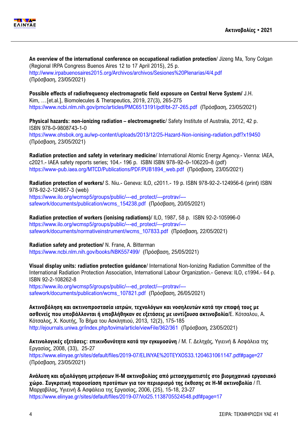

**An overview of the international conference on occupational radiation protection**/ Jizeng Ma, Tony Colgan (Regional IRPA Congress Buenos Aires 12 to 17 April 2015), 25 p. <http://www.irpabuenosaires2015.org/Archivos/archivos/Sesiones%20Plenarias/4/4.pdf> (Πρόσβαση, 23/05/2021)

**Possible effects of radiofrequency electromagnetic field exposure on Central Nerve System/** J.H. Kim, …[et.al.], Biomolecules & Therapeutics, 2019, 27(3), 265-275 <https://www.ncbi.nlm.nih.gov/pmc/articles/PMC6513191/pdf/bt-27-265.pdf>(Πρόσβαση, 23/05/2021)

**Physical hazards: non-ionizing radiation – electromagnetic**/ Safety Institute of Australia, 2012, 42 p. ISBN 978-0-9808743-1-0 <https://www.ohsbok.org.au/wp-content/uploads/2013/12/25-Hazard-Non-ionising-radiation.pdf?x19450> (Πρόσβαση, 23/05/2021)

**Radiation protection and safety in veterinary medicine**/ International Atomic Energy Agency.- Vienna: IAEA, c2021.- IAEA safety reports series; 104.- 196 p. ISBN ISBN 978–92–0–106220–8 (pdf) [https://www-pub.iaea.org/MTCD/Publications/PDF/PUB1894\\_web.pdf](https://www-pub.iaea.org/MTCD/Publications/PDF/PUB1894_web.pdf) (Πρόσβαση, 23/05/2021)

**Radiation protection of workers/** S. Niu.- Geneva: ILO, c2011.- 19 p. ISBN 978-92-2-124956-6 (print) ISBN 978-92-2-124957-3 (web) [https://www.ilo.org/wcmsp5/groups/public/---ed\\_protect/---protrav/--](https://www.ilo.org/wcmsp5/groups/public/---ed_protect/---protrav/---safework/documents/publication/wcms_154238.pdf) [safework/documents/publication/wcms\\_154238.pdf](https://www.ilo.org/wcmsp5/groups/public/---ed_protect/---protrav/---safework/documents/publication/wcms_154238.pdf) (Πρόσβαση, 20/05/2021)

**Radiation protection of workers (ionising radiations)**/ ILO, 1987, 58 p. ISBN 92-2-105996-0 [https://www.ilo.org/wcmsp5/groups/public/---ed\\_protect/---protrav/--](https://www.ilo.org/wcmsp5/groups/public/---ed_protect/---protrav/---safework/documents/normativeinstrument/wcms_107833.pdf) [safework/documents/normativeinstrument/wcms\\_107833.pdf](https://www.ilo.org/wcmsp5/groups/public/---ed_protect/---protrav/---safework/documents/normativeinstrument/wcms_107833.pdf) (Πρόσβαση, 22/05/2021)

**Radiation safety and protection/** N. Frane, A. Bitterman <https://www.ncbi.nlm.nih.gov/books/NBK557499/>(Πρόσβαση, 25/05/2021)

**Visual display units: radiation protection guidance**/ International Non-Ionizing Radiation Committee of the International Radiation Protection Association, International Labour Organization.- Geneva: ILO, c1994.- 64 p. ISBN 92-2-108262-8

[https://www.ilo.org/wcmsp5/groups/public/---ed\\_protect/---protrav/--](https://www.ilo.org/wcmsp5/groups/public/---ed_protect/---protrav/---safework/documents/publication/wcms_107821.pdf) [safework/documents/publication/wcms\\_107821.pdf](https://www.ilo.org/wcmsp5/groups/public/---ed_protect/---protrav/---safework/documents/publication/wcms_107821.pdf) (Πρόσβαση, 26/05/2021)

**Ακτινοβόληση και ακτινοπροστασία ιατρών, τεχνολόγων και νοσηλευτών κατά την επαφή τους με ασθενείς που υποβάλλονται ή υποβλήθηκαν σε εξετάσεις με ιοντίζουσα ακτινοβολία**/Ε. Κότσαλου, Α. Κότσαλος, Χ. Κουτής, Το Βήμα του Ασκληπιού, 2013, 12(2), 175-185 <http://ejournals.uniwa.gr/index.php/tovima/article/viewFile/362/361>(Πρόσβαση, 23/05/2021)

**Ακτινολογικές εξετάσεις: επικινδυνότητα κατά την εγκυμοσύνη** / Μ. Γ. Δεληχάς, Υγιεινή & Aσφάλεια της Eργασίας, 2008, (33), 25-27 <https://www.elinyae.gr/sites/default/files/2019-07/ELINYAE%20TEYXOS33.1204631061147.pdf#page=27> (Πρόσβαση, 23/05/2021)

**Ανάλυση και αξιολόγηση μετρήσεων Η-Μ ακτινοβολίας από μετασχηματιστές στο βιομηχανικό εργασιακό χώρο. Συγκριτική παρουσίαση προτύπων για τον περιορισμό της έκθεσης σε Η-Μ ακτινοβολία** / Π. Μαρχαβίλας, Υγιεινή & Aσφάλεια της Eργασίας, 2006, (25), 15-18, 23-27 <https://www.elinyae.gr/sites/default/files/2019-07/Vol25.1138705524548.pdf#page=17>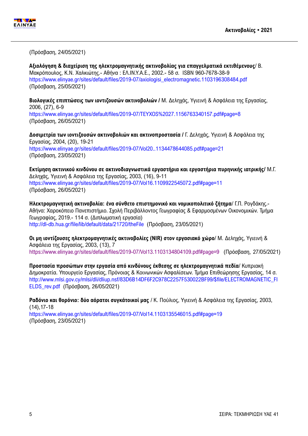

(Πρόσβαση, 24/05/2021)

**Αξιολόγηση & διαχείριση της ηλεκτρομαγνητικής ακτινοβολίας για επαγγελματικά εκτιθέμενους**/ Β. Μακρόπουλος, Κ.Ν. Χαλκιώτης.- Αθήνα : ΕΛ.ΙΝ.Υ.Α.Ε., 2002.- 58 σ. ISBN 960-7678-38-9 [https://www.elinyae.gr/sites/default/files/2019-07/axiologisi\\_electromagnetic.1103196308484.pdf](https://www.elinyae.gr/sites/default/files/2019-07/axiologisi_electromagnetic.1103196308484.pdf)  (Πρόσβαση, 25/05/2021)

**Βιολογικές επιπτώσεις των ιοντιζουσών ακτινοβολιών /** Μ. Δεληχάς, Υγιεινή & Aσφάλεια της Eργασίας, 2006, (27), 6-9 <https://www.elinyae.gr/sites/default/files/2019-07/TEYXOS%2027.1156763340157.pdf#page=8> (Πρόσβαση, 26/05/2021)

**Δοσιμετρία των ιοντιζουσών ακτινοβολιών και ακτινοπροστασία /** Γ. Δεληχάς, Υγιεινή & Ασφάλεια της Εργασίας, 2004, (20), 19-21 <https://www.elinyae.gr/sites/default/files/2019-07/Vol20..1134478644085.pdf#page=21> (Πρόσβαση, 23/05/2021)

**Εκτίμηση ακτινικού κινδύνου σε ακτινοδιαγνωστικά εργαστήρια και εργαστήρια πυρηνικής ιατρικής/** Μ.Γ. Δεληχάς, Υγιεινή & Ασφάλεια της Εργασίας, 2003, (16), 9-11 <https://www.elinyae.gr/sites/default/files/2019-07/Vol16.1109922545072.pdf#page=11> (Πρόσβαση, 26/05/2021)

**Ηλεκτρομαγνητική ακτινοβολία: ένα σύνθετο επιστημονικό και νομικοπολιτικό ζήτημα**/ Γ.Π. Ρογδάκης.- Αθήνα: Χαροκόπειο Πανεπιστήμιο. Σχολή Περιβάλλοντος Γεωγραφίας & Εφαρμοσμένων Οικονομικών. Τμήμα Γεωγραφίας, 2019.- 114 σ. (Διπλωματική εργασία) <http://dl-db.hua.gr/file/lib/default/data/21720/theFile>(Πρόσβαση, 23/05/2021)

**Οι μη ιοντίζουσες ηλεκτρομαγνητικές ακτινοβολίες (NIR) στον εργασιακό χώρο**/ Μ. Δεληχάς, Υγιεινή & Ασφάλεια της Εργασίας, 2003, (13), 7 <https://www.elinyae.gr/sites/default/files/2019-07/Vol13.1103134804109.pdf#page=9>(Πρόσβαση, 27/05/2021)

**Προστασία προσώπων στην εργασία από κινδύνους έκθεσης σε ηλεκτρομαγνητικά πεδία**/ Κυπριακή Δημοκρατία. Υπουργείο Εργασίας, Πρόνοιας & Κοινωνικών Ασφαλίσεων. Τμήμα Επιθεώρησης Εργασίας, 14 σ. [http://www.mlsi.gov.cy/mlsi/dli/dliup.nsf/83D6B14DF6F2C978C2257F530022BF99/\\$file/ELECTROMAGNETIC\\_FI](http://www.mlsi.gov.cy/mlsi/dli/dliup.nsf/83D6B14DF6F2C978C2257F530022BF99/$file/ELECTROMAGNETIC_FIELDS_rev.pdf) [ELDS\\_rev.pdf](http://www.mlsi.gov.cy/mlsi/dli/dliup.nsf/83D6B14DF6F2C978C2257F530022BF99/$file/ELECTROMAGNETIC_FIELDS_rev.pdf) (Πρόσβαση, 26/05/2021)

**Ραδόνιο και θορόνιο: δύο αόρατοι συγκάτοικοί μας** / Κ. Πούλιος, Υγιεινή & Ασφάλεια της Εργασίας, 2003, (14),17-18

<https://www.elinyae.gr/sites/default/files/2019-07/Vol14.1103135546015.pdf#page=19> (Πρόσβαση, 23/05/2021)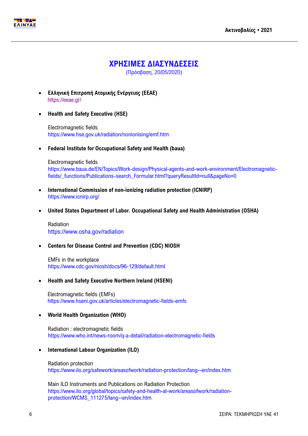



## **ΧΡΗΣΙΜΕΣ ΔΙΑΣΥΝΔΕΣΕΙΣ**

(Πρόσβαση, 20/05/2020)

- **Ελληνική Επιτροπή Ατομικής Ενέργειας (ΕΕΑΕ)** <https://eeae.gr/>
- **Health and Safety Executive (HSE)**

Electromagnetic fields <https://www.hse.gov.uk/radiation/nonionising/emf.htm>

**Federal Institute for Occupational Safety and Health (baua)**

#### Electromagnetic fields

[https://www.baua.de/EN/Topics/Work-design/Physical-agents-and-work-environment/Electromagnetic](https://www.baua.de/EN/Topics/Work-design/Physical-agents-and-work-environment/Electromagnetic-fields/_functions/Publications-search_Formular.html?queryResultId=null&pageNo=0)fields/ functions/Publications-search\_Formular.html?queryResultId=null&pageNo=0

- **International Commission of non-ionizing radiation protection (ICNIRP)** <https://www.icnirp.org/>
- **United States Department of Labor. Occupational Safety and Health Administration (OSHA)**

Radiation <https://www.osha.gov/radiation>

#### **Centers for Disease Control and Prevention (CDC) NIOSH**

EMFs in the workplace <https://www.cdc.gov/niosh/docs/96-129/default.html>

**Health and Safety Executive Northern Ireland (HSENI)**

Electromagnetic fields (EMFs) <https://www.hseni.gov.uk/articles/electromagnetic-fields-emfs>

### **World Health Organization (WHO)**

Radiation : electromagnetic fields <https://www.who.int/news-room/q-a-detail/radiation-electromagnetic-fields>

**International Labour Organization (ILO)**

Radiation protection <https://www.ilo.org/safework/areasofwork/radiation-protection/lang--en/index.htm>

Main ILO Instruments and Publications on Radiation Protection [https://www.ilo.org/global/topics/safety-and-health-at-work/areasofwork/radiation](https://www.ilo.org/global/topics/safety-and-health-at-work/areasofwork/radiation-protection/WCMS_111275/lang--en/index.htm)[protection/WCMS\\_111275/lang--en/index.htm](https://www.ilo.org/global/topics/safety-and-health-at-work/areasofwork/radiation-protection/WCMS_111275/lang--en/index.htm)